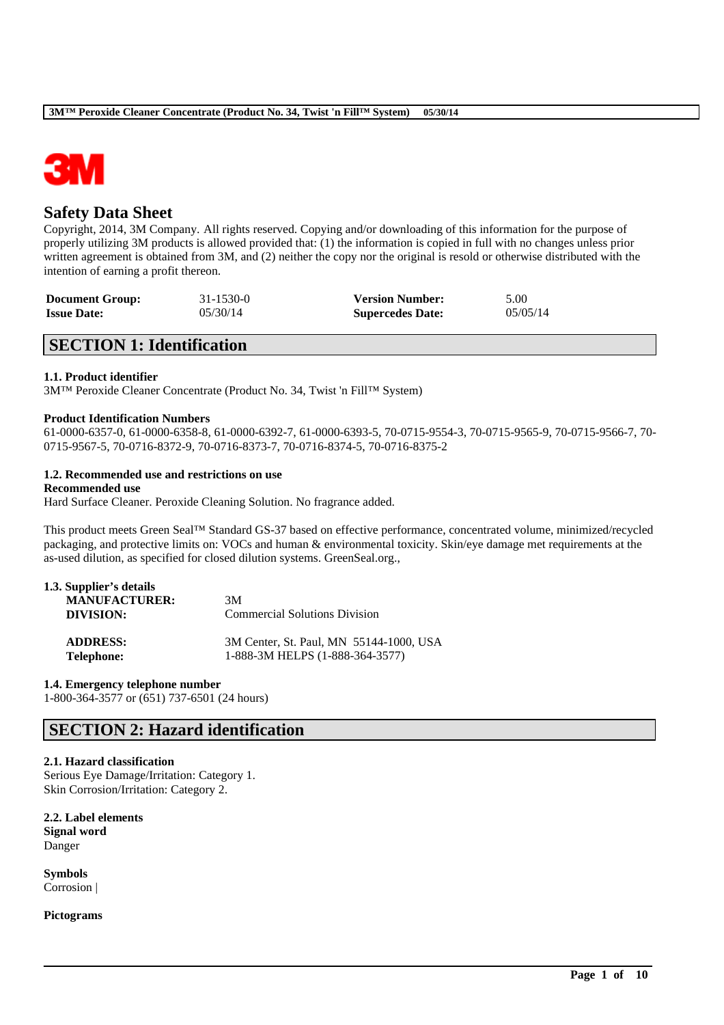

# **Safety Data Sheet**

Copyright, 2014, 3M Company. All rights reserved. Copying and/or downloading of this information for the purpose of properly utilizing 3M products is allowed provided that: (1) the information is copied in full with no changes unless prior written agreement is obtained from 3M, and (2) neither the copy nor the original is resold or otherwise distributed with the intention of earning a profit thereon.

| <b>Document Group:</b> | $31 - 1530 - 0$ | <b>Version Number:</b>  | 5.00     |
|------------------------|-----------------|-------------------------|----------|
| <b>Issue Date:</b>     | 05/30/14        | <b>Supercedes Date:</b> | 05/05/14 |

# **SECTION 1: Identification**

# **1.1. Product identifier**

3M™ Peroxide Cleaner Concentrate (Product No. 34, Twist 'n Fill™ System)

### **Product Identification Numbers**

61-0000-6357-0, 61-0000-6358-8, 61-0000-6392-7, 61-0000-6393-5, 70-0715-9554-3, 70-0715-9565-9, 70-0715-9566-7, 70- 0715-9567-5, 70-0716-8372-9, 70-0716-8373-7, 70-0716-8374-5, 70-0716-8375-2

### **1.2. Recommended use and restrictions on use**

### **Recommended use**

Hard Surface Cleaner. Peroxide Cleaning Solution. No fragrance added.

This product meets Green Seal™ Standard GS-37 based on effective performance, concentrated volume, minimized/recycled packaging, and protective limits on: VOCs and human & environmental toxicity. Skin/eye damage met requirements at the as-used dilution, as specified for closed dilution systems. GreenSeal.org.,

\_\_\_\_\_\_\_\_\_\_\_\_\_\_\_\_\_\_\_\_\_\_\_\_\_\_\_\_\_\_\_\_\_\_\_\_\_\_\_\_\_\_\_\_\_\_\_\_\_\_\_\_\_\_\_\_\_\_\_\_\_\_\_\_\_\_\_\_\_\_\_\_\_\_\_\_\_\_\_\_\_\_\_\_\_\_\_\_\_\_

| 1.3. Supplier's details |                                         |
|-------------------------|-----------------------------------------|
| <b>MANUFACTURER:</b>    | 3M                                      |
| DIVISION:               | Commercial Solutions Division           |
| <b>ADDRESS:</b>         | 3M Center, St. Paul, MN 55144-1000, USA |
| <b>Telephone:</b>       | 1-888-3M HELPS (1-888-364-3577)         |

# **1.4. Emergency telephone number**

1-800-364-3577 or (651) 737-6501 (24 hours)

# **SECTION 2: Hazard identification**

### **2.1. Hazard classification**

Serious Eye Damage/Irritation: Category 1. Skin Corrosion/Irritation: Category 2.

**2.2. Label elements Signal word** Danger

**Symbols** Corrosion |

**Pictograms**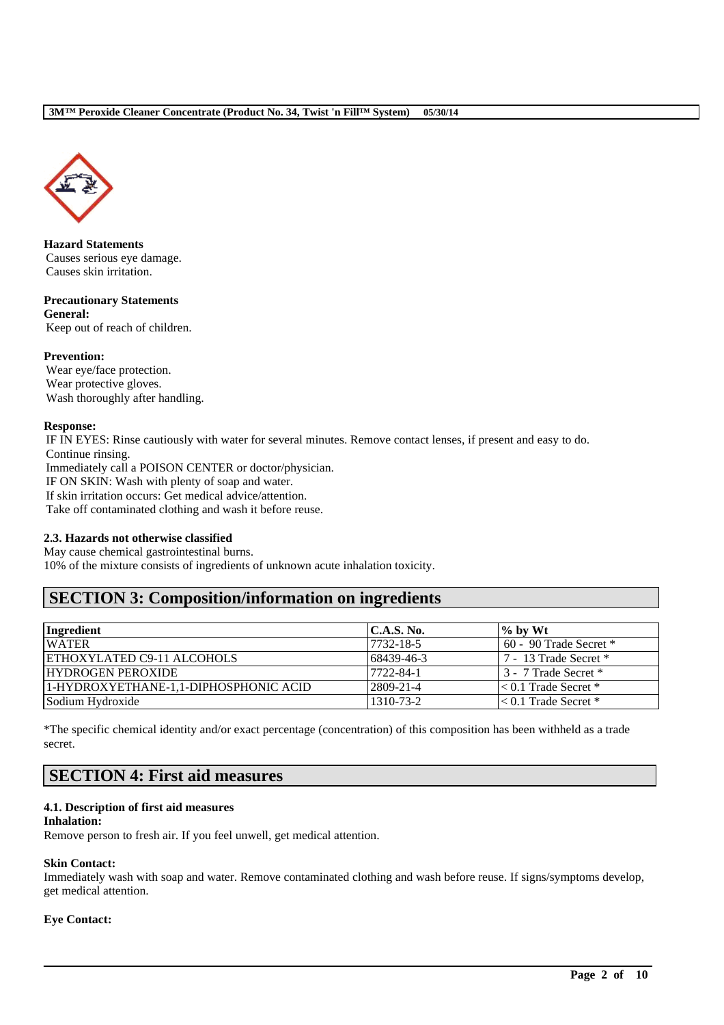

**Hazard Statements** Causes serious eye damage. Causes skin irritation.

**Precautionary Statements General:** Keep out of reach of children.

# **Prevention:**

Wear eye/face protection. Wear protective gloves. Wash thoroughly after handling.

# **Response:**

IF IN EYES: Rinse cautiously with water for several minutes. Remove contact lenses, if present and easy to do. Continue rinsing. Immediately call a POISON CENTER or doctor/physician. IF ON SKIN: Wash with plenty of soap and water. If skin irritation occurs: Get medical advice/attention. Take off contaminated clothing and wash it before reuse.

# **2.3. Hazards not otherwise classified**

May cause chemical gastrointestinal burns.

10% of the mixture consists of ingredients of unknown acute inhalation toxicity.

# **SECTION 3: Composition/information on ingredients**

| Ingredient                            | C.A.S. No. | $\%$ by Wt                 |
|---------------------------------------|------------|----------------------------|
| <b>WATER</b>                          | 7732-18-5  | $60 - 90$ Trade Secret $*$ |
| <b>ETHOXYLATED C9-11 ALCOHOLS</b>     | 68439-46-3 | 7 - 13 Trade Secret *      |
| <b>HYDROGEN PEROXIDE</b>              | 7722-84-1  | 3 - 7 Trade Secret *       |
| 1-HYDROXYETHANE-1,1-DIPHOSPHONIC ACID | 2809-21-4  | $\leq 0.1$ Trade Secret *  |
| Sodium Hydroxide                      | 1310-73-2  | $< 0.1$ Trade Secret *     |

\*The specific chemical identity and/or exact percentage (concentration) of this composition has been withheld as a trade secret.

# **SECTION 4: First aid measures**

# **4.1. Description of first aid measures**

### **Inhalation:**

Remove person to fresh air. If you feel unwell, get medical attention.

# **Skin Contact:**

Immediately wash with soap and water. Remove contaminated clothing and wash before reuse. If signs/symptoms develop, get medical attention.

\_\_\_\_\_\_\_\_\_\_\_\_\_\_\_\_\_\_\_\_\_\_\_\_\_\_\_\_\_\_\_\_\_\_\_\_\_\_\_\_\_\_\_\_\_\_\_\_\_\_\_\_\_\_\_\_\_\_\_\_\_\_\_\_\_\_\_\_\_\_\_\_\_\_\_\_\_\_\_\_\_\_\_\_\_\_\_\_\_\_

# **Eye Contact:**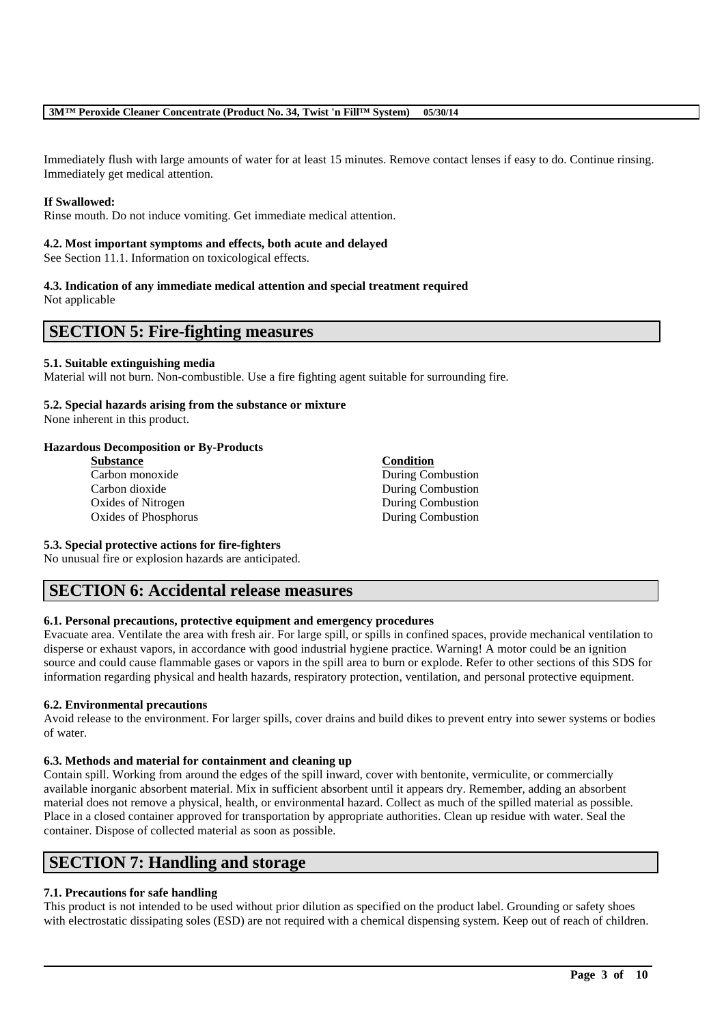Immediately flush with large amounts of water for at least 15 minutes. Remove contact lenses if easy to do. Continue rinsing. Immediately get medical attention.

# **If Swallowed:**

Rinse mouth. Do not induce vomiting. Get immediate medical attention.

### **4.2. Most important symptoms and effects, both acute and delayed**

See Section 11.1. Information on toxicological effects.

### **4.3. Indication of any immediate medical attention and special treatment required** Not applicable

# **SECTION 5: Fire-fighting measures**

### **5.1. Suitable extinguishing media**

Material will not burn. Non-combustible. Use a fire fighting agent suitable for surrounding fire.

# **5.2. Special hazards arising from the substance or mixture**

None inherent in this product.

### **Hazardous Decomposition or By-Products**

- **Substance Condition** Carbon monoxide During Combustion Carbon dioxide During Combustion Oxides of Nitrogen During Combustion Oxides of Phosphorus During Combustion
	-

### **5.3. Special protective actions for fire-fighters**

No unusual fire or explosion hazards are anticipated.

# **SECTION 6: Accidental release measures**

# **6.1. Personal precautions, protective equipment and emergency procedures**

Evacuate area. Ventilate the area with fresh air. For large spill, or spills in confined spaces, provide mechanical ventilation to disperse or exhaust vapors, in accordance with good industrial hygiene practice. Warning! A motor could be an ignition source and could cause flammable gases or vapors in the spill area to burn or explode. Refer to other sections of this SDS for information regarding physical and health hazards, respiratory protection, ventilation, and personal protective equipment.

# **6.2. Environmental precautions**

Avoid release to the environment. For larger spills, cover drains and build dikes to prevent entry into sewer systems or bodies of water.

### **6.3. Methods and material for containment and cleaning up**

Contain spill. Working from around the edges of the spill inward, cover with bentonite, vermiculite, or commercially available inorganic absorbent material. Mix in sufficient absorbent until it appears dry. Remember, adding an absorbent material does not remove a physical, health, or environmental hazard. Collect as much of the spilled material as possible. Place in a closed container approved for transportation by appropriate authorities. Clean up residue with water. Seal the container. Dispose of collected material as soon as possible.

# **SECTION 7: Handling and storage**

# **7.1. Precautions for safe handling**

This product is not intended to be used without prior dilution as specified on the product label. Grounding or safety shoes with electrostatic dissipating soles (ESD) are not required with a chemical dispensing system. Keep out of reach of children.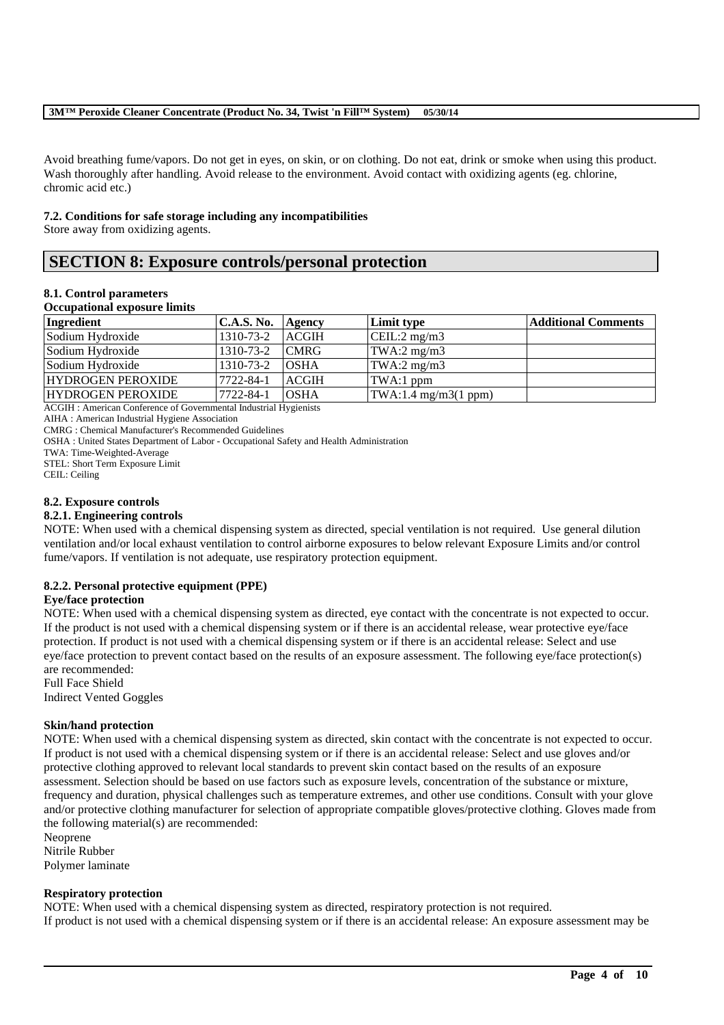Avoid breathing fume/vapors. Do not get in eyes, on skin, or on clothing. Do not eat, drink or smoke when using this product. Wash thoroughly after handling. Avoid release to the environment. Avoid contact with oxidizing agents (eg. chlorine, chromic acid etc.)

### **7.2. Conditions for safe storage including any incompatibilities**

Store away from oxidizing agents.

# **SECTION 8: Exposure controls/personal protection**

### **8.1. Control parameters**

### **Occupational exposure limits**

| Ingredient               | <b>C.A.S. No.</b> | <b>Agency</b> | Limit type                                      | <b>Additional Comments</b> |
|--------------------------|-------------------|---------------|-------------------------------------------------|----------------------------|
| Sodium Hydroxide         | 1310-73-2         | <b>ACGIH</b>  | CEIL:2 mg/m3                                    |                            |
| Sodium Hydroxide         | 1310-73-2         | <b>CMRG</b>   | TWA:2 $mg/m3$                                   |                            |
| Sodium Hydroxide         | 1310-73-2         | <b>OSHA</b>   | TWA:2 $mg/m3$                                   |                            |
| <b>HYDROGEN PEROXIDE</b> | 7722-84-1         | <b>ACGIH</b>  | TWA:1 ppm                                       |                            |
| <b>HYDROGEN PEROXIDE</b> | 7722-84-1         | <b>OSHA</b>   | $\text{TWA}: 1.4 \text{ mg/m3} (1 \text{ ppm})$ |                            |

ACGIH : American Conference of Governmental Industrial Hygienists

AIHA : American Industrial Hygiene Association

CMRG : Chemical Manufacturer's Recommended Guidelines

OSHA : United States Department of Labor - Occupational Safety and Health Administration

TWA: Time-Weighted-Average

STEL: Short Term Exposure Limit

CEIL: Ceiling

### **8.2. Exposure controls**

### **8.2.1. Engineering controls**

NOTE: When used with a chemical dispensing system as directed, special ventilation is not required. Use general dilution ventilation and/or local exhaust ventilation to control airborne exposures to below relevant Exposure Limits and/or control fume/vapors. If ventilation is not adequate, use respiratory protection equipment.

# **8.2.2. Personal protective equipment (PPE)**

### **Eye/face protection**

NOTE: When used with a chemical dispensing system as directed, eye contact with the concentrate is not expected to occur. If the product is not used with a chemical dispensing system or if there is an accidental release, wear protective eye/face protection. If product is not used with a chemical dispensing system or if there is an accidental release: Select and use eye/face protection to prevent contact based on the results of an exposure assessment. The following eye/face protection(s) are recommended:

Full Face Shield

Indirect Vented Goggles

# **Skin/hand protection**

NOTE: When used with a chemical dispensing system as directed, skin contact with the concentrate is not expected to occur. If product is not used with a chemical dispensing system or if there is an accidental release: Select and use gloves and/or protective clothing approved to relevant local standards to prevent skin contact based on the results of an exposure assessment. Selection should be based on use factors such as exposure levels, concentration of the substance or mixture, frequency and duration, physical challenges such as temperature extremes, and other use conditions. Consult with your glove and/or protective clothing manufacturer for selection of appropriate compatible gloves/protective clothing. Gloves made from the following material(s) are recommended:

Neoprene Nitrile Rubber

Polymer laminate

# **Respiratory protection**

NOTE: When used with a chemical dispensing system as directed, respiratory protection is not required. If product is not used with a chemical dispensing system or if there is an accidental release: An exposure assessment may be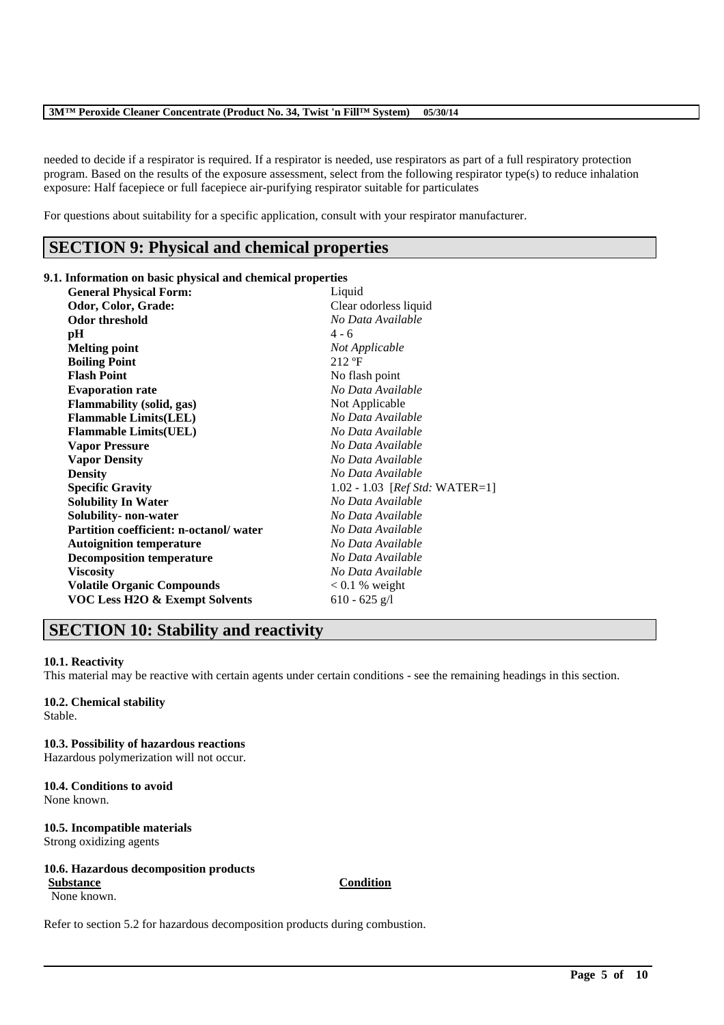needed to decide if a respirator is required. If a respirator is needed, use respirators as part of a full respiratory protection program. Based on the results of the exposure assessment, select from the following respirator type(s) to reduce inhalation exposure: Half facepiece or full facepiece air-purifying respirator suitable for particulates

For questions about suitability for a specific application, consult with your respirator manufacturer.

# **SECTION 9: Physical and chemical properties**

### **9.1. Information on basic physical and chemical properties**

| <b>General Physical Form:</b><br>Liquid         |                                          |
|-------------------------------------------------|------------------------------------------|
| Odor, Color, Grade:                             | Clear odorless liquid                    |
| Odor threshold                                  | No Data Available                        |
| $4 - 6$<br>pН                                   |                                          |
| <b>Melting point</b>                            | Not Applicable                           |
| $212 \text{ }^{\circ}F$<br><b>Boiling Point</b> |                                          |
| <b>Flash Point</b>                              | No flash point                           |
| <b>Evaporation rate</b>                         | No Data Available                        |
| <b>Flammability</b> (solid, gas)                | Not Applicable                           |
| <b>Flammable Limits(LEL)</b>                    | No Data Available                        |
| <b>Flammable Limits(UEL)</b>                    | No Data Available                        |
| <b>Vapor Pressure</b>                           | No Data Available                        |
| <b>Vapor Density</b>                            | No Data Available                        |
| <b>Density</b>                                  | No Data Available                        |
| <b>Specific Gravity</b>                         | $1.02 - 1.03$ [ <i>Ref Std:</i> WATER=1] |
| <b>Solubility In Water</b>                      | No Data Available                        |
| Solubility- non-water                           | No Data Available                        |
| <b>Partition coefficient: n-octanol/water</b>   | No Data Available                        |
| <b>Autoignition temperature</b>                 | No Data Available                        |
| <b>Decomposition temperature</b>                | No Data Available                        |
| <b>Viscosity</b>                                | No Data Available                        |
| <b>Volatile Organic Compounds</b>               | $0.1\%$ weight                           |
| <b>VOC Less H2O &amp; Exempt Solvents</b>       | $610 - 625$ g/l                          |

# **SECTION 10: Stability and reactivity**

# **10.1. Reactivity**

This material may be reactive with certain agents under certain conditions - see the remaining headings in this section.

# **10.2. Chemical stability**

Stable.

**10.3. Possibility of hazardous reactions** Hazardous polymerization will not occur.

### **10.4. Conditions to avoid** None known.

# **10.5. Incompatible materials**

Strong oxidizing agents

### **10.6. Hazardous decomposition products Substance Condition**

\_\_\_\_\_\_\_\_\_\_\_\_\_\_\_\_\_\_\_\_\_\_\_\_\_\_\_\_\_\_\_\_\_\_\_\_\_\_\_\_\_\_\_\_\_\_\_\_\_\_\_\_\_\_\_\_\_\_\_\_\_\_\_\_\_\_\_\_\_\_\_\_\_\_\_\_\_\_\_\_\_\_\_\_\_\_\_\_\_\_

None known.

Refer to section 5.2 for hazardous decomposition products during combustion.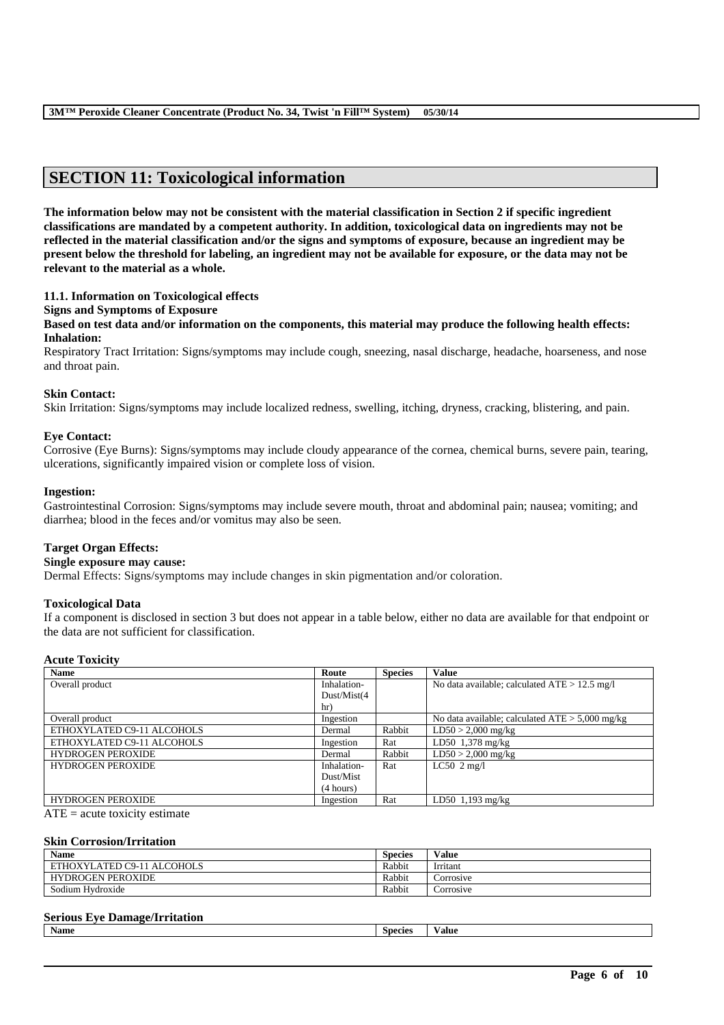# **SECTION 11: Toxicological information**

**The information below may not be consistent with the material classification in Section 2 if specific ingredient classifications are mandated by a competent authority. In addition, toxicological data on ingredients may not be reflected in the material classification and/or the signs and symptoms of exposure, because an ingredient may be present below the threshold for labeling, an ingredient may not be available for exposure, or the data may not be relevant to the material as a whole.**

### **11.1. Information on Toxicological effects**

### **Signs and Symptoms of Exposure**

**Based on test data and/or information on the components, this material may produce the following health effects: Inhalation:**

Respiratory Tract Irritation: Signs/symptoms may include cough, sneezing, nasal discharge, headache, hoarseness, and nose and throat pain.

# **Skin Contact:**

Skin Irritation: Signs/symptoms may include localized redness, swelling, itching, dryness, cracking, blistering, and pain.

### **Eye Contact:**

Corrosive (Eye Burns): Signs/symptoms may include cloudy appearance of the cornea, chemical burns, severe pain, tearing, ulcerations, significantly impaired vision or complete loss of vision.

### **Ingestion:**

Gastrointestinal Corrosion: Signs/symptoms may include severe mouth, throat and abdominal pain; nausea; vomiting; and diarrhea; blood in the feces and/or vomitus may also be seen.

### **Target Organ Effects:**

### **Single exposure may cause:**

Dermal Effects: Signs/symptoms may include changes in skin pigmentation and/or coloration.

### **Toxicological Data**

If a component is disclosed in section 3 but does not appear in a table below, either no data are available for that endpoint or the data are not sufficient for classification.

### **Acute Toxicity**

| <b>Name</b>                | Route       | <b>Species</b> | <b>Value</b>                                      |
|----------------------------|-------------|----------------|---------------------------------------------------|
| Overall product            | Inhalation- |                | No data available; calculated $ATE > 12.5$ mg/l   |
|                            | Dust/Mist(4 |                |                                                   |
|                            | hr)         |                |                                                   |
| Overall product            | Ingestion   |                | No data available; calculated $ATE > 5,000$ mg/kg |
| ETHOXYLATED C9-11 ALCOHOLS | Dermal      | Rabbit         | $LD50 > 2,000$ mg/kg                              |
| ETHOXYLATED C9-11 ALCOHOLS | Ingestion   | Rat            | LD50 $1,378$ mg/kg                                |
| <b>HYDROGEN PEROXIDE</b>   | Dermal      | Rabbit         | $LD50 > 2,000$ mg/kg                              |
| <b>HYDROGEN PEROXIDE</b>   | Inhalation- | Rat            | LC50 $2 \text{ mg/l}$                             |
|                            | Dust/Mist   |                |                                                   |
|                            | (4 hours)   |                |                                                   |
| <b>HYDROGEN PEROXIDE</b>   | Ingestion   | Rat            | $LD50$ 1,193 mg/kg                                |

 $ATE = acute$  toxicity estimate

### **Skin Corrosion/Irritation**

| <b>Name</b>                | Species | Value     |
|----------------------------|---------|-----------|
| ETHOXYLATED C9-11 ALCOHOLS | Rabbit  | Irritant  |
| <b>HYDROGEN PEROXIDE</b>   | Rabbit  | Corrosive |
| Sodium Hydroxide           | Rabbit  | Corrosive |

### **Serious Eye Damage/Irritation**

| п.<br><br>Name<br>species<br>alue |  |  |  |
|-----------------------------------|--|--|--|
|                                   |  |  |  |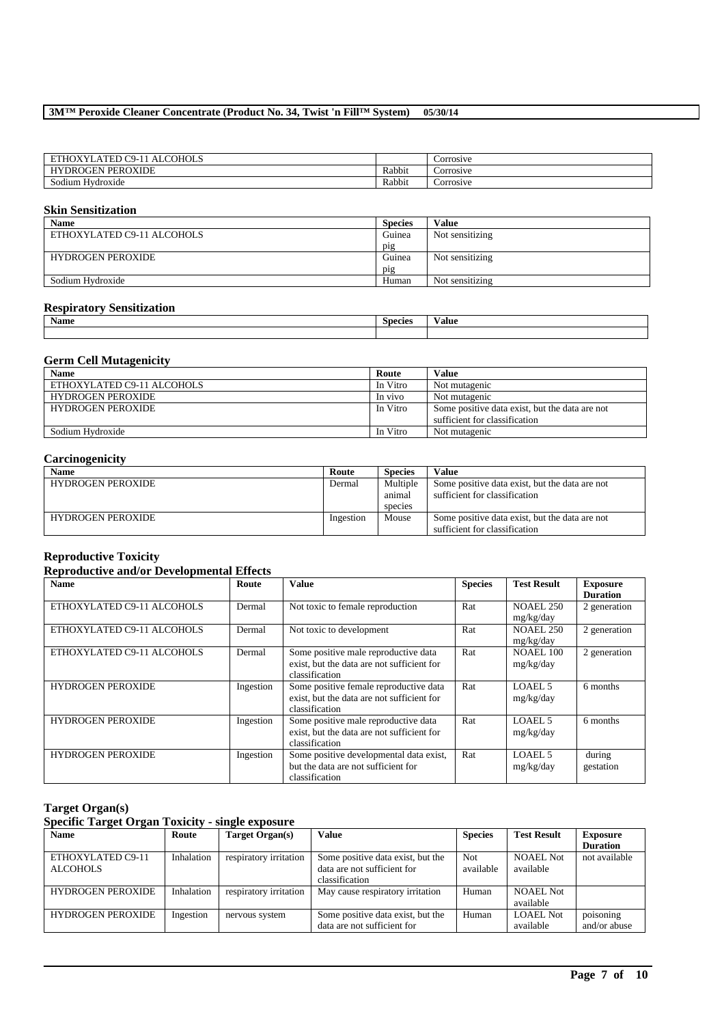| <b>COHOLS</b><br><b>ATED</b><br><b>DELLA</b><br>$\sim$<br>$TNT$ .<br>- 1<br>. IX<br>ΉΟ<br>$9 - 1$<br>Α. |        | Corrosive |
|---------------------------------------------------------------------------------------------------------|--------|-----------|
| <b>PEROXIDE</b><br><b>HYDROGEN</b>                                                                      | Rabbit | Corrosive |
| $\overline{\phantom{a}}$<br>Sodium Hydroxide                                                            | Rabbit | Corrosive |

# **Skin Sensitization**

| <b>Name</b>                | <b>Species</b>  | Value           |
|----------------------------|-----------------|-----------------|
| ETHOXYLATED C9-11 ALCOHOLS | Guinea          | Not sensitizing |
|                            | p <sub>1g</sub> |                 |
| <b>HYDROGEN PEROXIDE</b>   | Guinea          | Not sensitizing |
|                            | p <sub>1g</sub> |                 |
| Sodium Hydroxide           | Human           | Not sensitizing |

### **Respiratory Sensitization**

| <b>BT</b><br>Name | <b>Species</b> | 'alue |
|-------------------|----------------|-------|
|                   |                |       |

# **Germ Cell Mutagenicity**

| <b>Name</b>                | Route    | Value                                          |
|----------------------------|----------|------------------------------------------------|
| ETHOXYLATED C9-11 ALCOHOLS | In Vitro | Not mutagenic                                  |
| <b>HYDROGEN PEROXIDE</b>   | In vivo  | Not mutagenic                                  |
| <b>HYDROGEN PEROXIDE</b>   | In Vitro | Some positive data exist, but the data are not |
|                            |          | sufficient for classification                  |
| Sodium Hydroxide           | In Vitro | Not mutagenic                                  |

# **Carcinogenicity**

| <b>Name</b>              | Route     | <b>Species</b> | Value                                          |
|--------------------------|-----------|----------------|------------------------------------------------|
| <b>HYDROGEN PEROXIDE</b> | Dermal    | Multiple       | Some positive data exist, but the data are not |
|                          |           | animal         | sufficient for classification                  |
|                          |           | species        |                                                |
| <b>HYDROGEN PEROXIDE</b> | Ingestion | Mouse          | Some positive data exist, but the data are not |
|                          |           |                | sufficient for classification                  |

### **Reproductive Toxicity**

# **Reproductive and/or Developmental Effects**

| <b>Name</b>                | Route     | <b>Value</b>                                                                                           | <b>Species</b> | <b>Test Result</b>            | <b>Exposure</b><br><b>Duration</b> |
|----------------------------|-----------|--------------------------------------------------------------------------------------------------------|----------------|-------------------------------|------------------------------------|
| ETHOXYLATED C9-11 ALCOHOLS | Dermal    | Not toxic to female reproduction                                                                       | Rat            | <b>NOAEL 250</b><br>mg/kg/day | 2 generation                       |
| ETHOXYLATED C9-11 ALCOHOLS | Dermal    | Not toxic to development                                                                               | Rat            | <b>NOAEL 250</b><br>mg/kg/day | 2 generation                       |
| ETHOXYLATED C9-11 ALCOHOLS | Dermal    | Some positive male reproductive data<br>exist, but the data are not sufficient for<br>classification   | Rat            | <b>NOAEL 100</b><br>mg/kg/day | 2 generation                       |
| <b>HYDROGEN PEROXIDE</b>   | Ingestion | Some positive female reproductive data<br>exist, but the data are not sufficient for<br>classification | Rat            | LOAEL 5<br>mg/kg/day          | 6 months                           |
| <b>HYDROGEN PEROXIDE</b>   | Ingestion | Some positive male reproductive data<br>exist, but the data are not sufficient for<br>classification   | Rat            | LOAEL 5<br>mg/kg/day          | 6 months                           |
| <b>HYDROGEN PEROXIDE</b>   | Ingestion | Some positive developmental data exist,<br>but the data are not sufficient for<br>classification       | Rat            | LOAEL 5<br>mg/kg/day          | during<br>gestation                |

# **Target Organ(s)**

# **Specific Target Organ Toxicity - single exposure**

| <b>Name</b>              | Route      | Target Organ(s)        | <b>Value</b>                      | <b>Species</b> | <b>Test Result</b> | <b>Exposure</b> |
|--------------------------|------------|------------------------|-----------------------------------|----------------|--------------------|-----------------|
|                          |            |                        |                                   |                |                    | <b>Duration</b> |
| ETHOXYLATED C9-11        | Inhalation | respiratory irritation | Some positive data exist, but the | Not.           | NOAEL Not          | not available   |
| <b>ALCOHOLS</b>          |            |                        | data are not sufficient for       | available      | available          |                 |
|                          |            |                        | classification                    |                |                    |                 |
| <b>HYDROGEN PEROXIDE</b> | Inhalation | respiratory irritation | May cause respiratory irritation  | Human          | NOAEL Not          |                 |
|                          |            |                        |                                   |                | available          |                 |
| <b>HYDROGEN PEROXIDE</b> | Ingestion  | nervous system         | Some positive data exist, but the | Human          | <b>LOAEL Not</b>   | poisoning       |
|                          |            |                        | data are not sufficient for       |                | available          | and/or abuse    |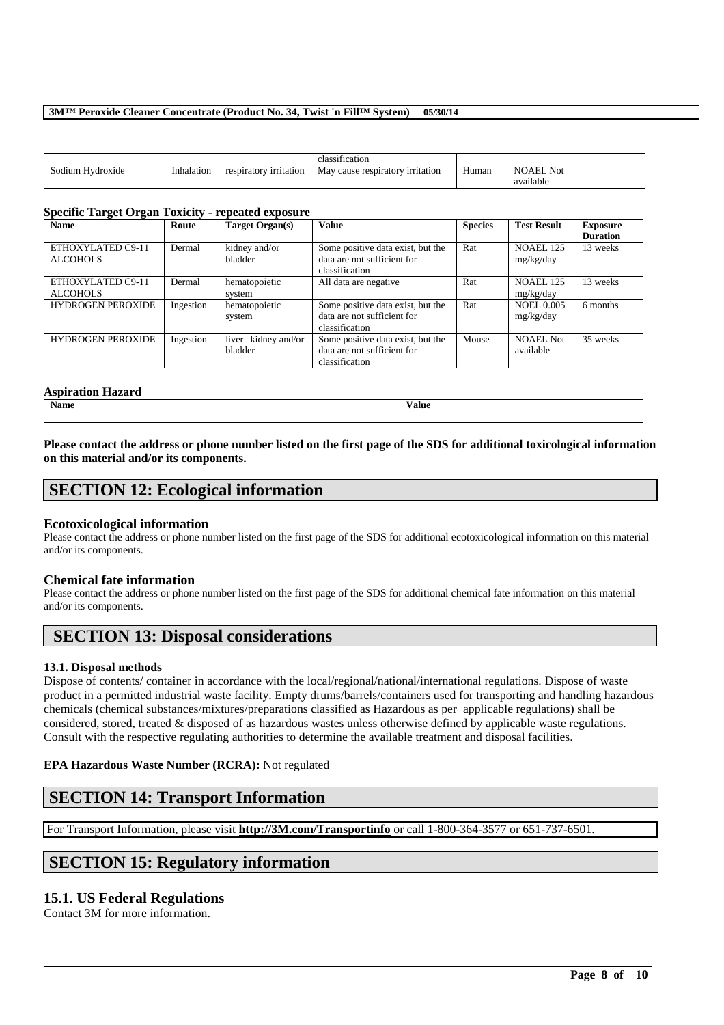|                              |            |                        | $\cdots$<br>classification          |       |                               |  |
|------------------------------|------------|------------------------|-------------------------------------|-------|-------------------------------|--|
| $\cdots$<br>Sodium Hydroxide | Inhalation | respiratory irritation | May<br>cause respiratory irritation | Human | <b>NOAEL Not</b><br>available |  |

# **Specific Target Organ Toxicity - repeated exposure**

| <b>Name</b>                          | Route     | Target Organ(s)                  | <b>Value</b>                                                                       | <b>Species</b> | <b>Test Result</b>             | <b>Exposure</b><br><b>Duration</b> |
|--------------------------------------|-----------|----------------------------------|------------------------------------------------------------------------------------|----------------|--------------------------------|------------------------------------|
| ETHOXYLATED C9-11<br><b>ALCOHOLS</b> | Dermal    | kidney and/or<br>bladder         | Some positive data exist, but the<br>data are not sufficient for<br>classification | Rat            | NOAEL 125<br>mg/kg/day         | 13 weeks                           |
| ETHOXYLATED C9-11<br><b>ALCOHOLS</b> | Dermal    | hematopoietic<br>system          | All data are negative                                                              | Rat            | <b>NOAEL 125</b><br>mg/kg/day  | 13 weeks                           |
| <b>HYDROGEN PEROXIDE</b>             | Ingestion | hematopoietic<br>system          | Some positive data exist, but the<br>data are not sufficient for<br>classification | Rat            | <b>NOEL 0.005</b><br>mg/kg/day | 6 months                           |
| <b>HYDROGEN PEROXIDE</b>             | Ingestion | liver   kidney and/or<br>bladder | Some positive data exist, but the<br>data are not sufficient for<br>classification | Mouse          | <b>NOAEL Not</b><br>available  | 35 weeks                           |

# **Aspiration Hazard**

| Name | --<br>Value |
|------|-------------|
|      |             |

# **Please contact the address or phone number listed on the first page of the SDS for additional toxicological information on this material and/or its components.**

# **SECTION 12: Ecological information**

# **Ecotoxicological information**

Please contact the address or phone number listed on the first page of the SDS for additional ecotoxicological information on this material and/or its components.

# **Chemical fate information**

Please contact the address or phone number listed on the first page of the SDS for additional chemical fate information on this material and/or its components.

# **SECTION 13: Disposal considerations**

# **13.1. Disposal methods**

Dispose of contents/ container in accordance with the local/regional/national/international regulations. Dispose of waste product in a permitted industrial waste facility. Empty drums/barrels/containers used for transporting and handling hazardous chemicals (chemical substances/mixtures/preparations classified as Hazardous as per applicable regulations) shall be considered, stored, treated & disposed of as hazardous wastes unless otherwise defined by applicable waste regulations. Consult with the respective regulating authorities to determine the available treatment and disposal facilities.

\_\_\_\_\_\_\_\_\_\_\_\_\_\_\_\_\_\_\_\_\_\_\_\_\_\_\_\_\_\_\_\_\_\_\_\_\_\_\_\_\_\_\_\_\_\_\_\_\_\_\_\_\_\_\_\_\_\_\_\_\_\_\_\_\_\_\_\_\_\_\_\_\_\_\_\_\_\_\_\_\_\_\_\_\_\_\_\_\_\_

# **EPA Hazardous Waste Number (RCRA):** Not regulated

# **SECTION 14: Transport Information**

For Transport Information, please visit **http://3M.com/Transportinfo** or call 1-800-364-3577 or 651-737-6501.

# **SECTION 15: Regulatory information**

# **15.1. US Federal Regulations**

Contact 3M for more information.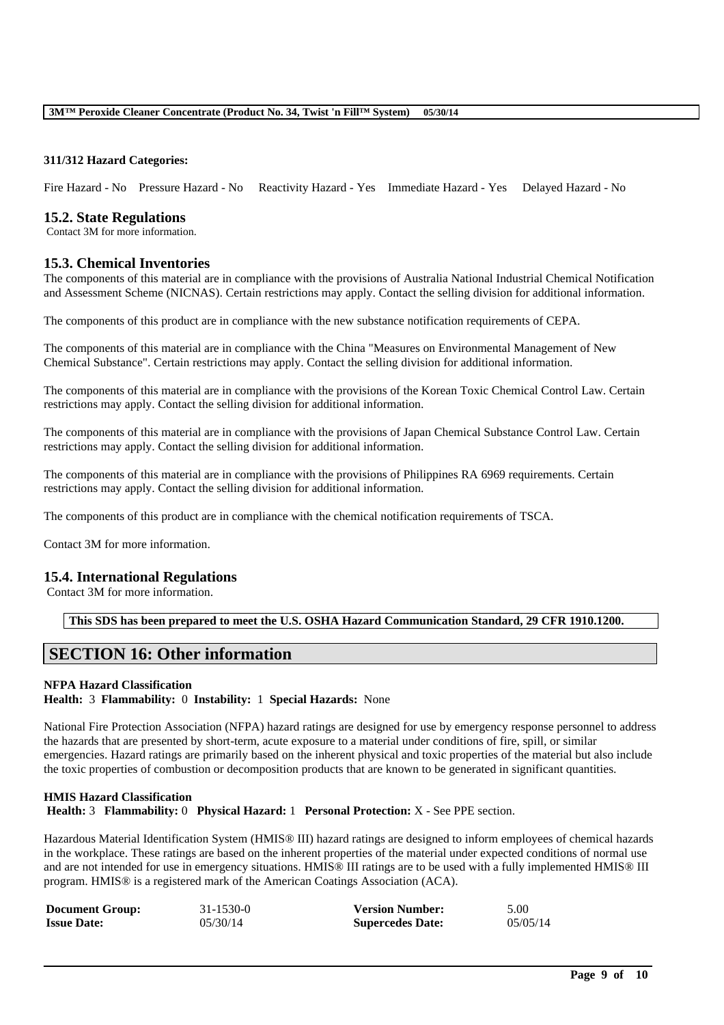### **311/312 Hazard Categories:**

Fire Hazard - No Pressure Hazard - No Reactivity Hazard - Yes Immediate Hazard - Yes Delayed Hazard - No

### **15.2. State Regulations**

Contact 3M for more information.

# **15.3. Chemical Inventories**

The components of this material are in compliance with the provisions of Australia National Industrial Chemical Notification and Assessment Scheme (NICNAS). Certain restrictions may apply. Contact the selling division for additional information.

The components of this product are in compliance with the new substance notification requirements of CEPA.

The components of this material are in compliance with the China "Measures on Environmental Management of New Chemical Substance". Certain restrictions may apply. Contact the selling division for additional information.

The components of this material are in compliance with the provisions of the Korean Toxic Chemical Control Law. Certain restrictions may apply. Contact the selling division for additional information.

The components of this material are in compliance with the provisions of Japan Chemical Substance Control Law. Certain restrictions may apply. Contact the selling division for additional information.

The components of this material are in compliance with the provisions of Philippines RA 6969 requirements. Certain restrictions may apply. Contact the selling division for additional information.

The components of this product are in compliance with the chemical notification requirements of TSCA.

Contact 3M for more information.

# **15.4. International Regulations**

Contact 3M for more information.

**This SDS has been prepared to meet the U.S. OSHA Hazard Communication Standard, 29 CFR 1910.1200.**

# **SECTION 16: Other information**

### **NFPA Hazard Classification**

**Health:** 3 **Flammability:** 0 **Instability:** 1 **Special Hazards:** None

National Fire Protection Association (NFPA) hazard ratings are designed for use by emergency response personnel to address the hazards that are presented by short-term, acute exposure to a material under conditions of fire, spill, or similar emergencies. Hazard ratings are primarily based on the inherent physical and toxic properties of the material but also include the toxic properties of combustion or decomposition products that are known to be generated in significant quantities.

# **HMIS Hazard Classification Health:** 3 **Flammability:** 0 **Physical Hazard:** 1 **Personal Protection:** X - See PPE section.

Hazardous Material Identification System (HMIS® III) hazard ratings are designed to inform employees of chemical hazards in the workplace. These ratings are based on the inherent properties of the material under expected conditions of normal use and are not intended for use in emergency situations. HMIS® III ratings are to be used with a fully implemented HMIS® III program. HMIS® is a registered mark of the American Coatings Association (ACA).

| <b>Document Group:</b> | $31 - 1530 - 0$ | <b>Version Number:</b>  | 5.00     |
|------------------------|-----------------|-------------------------|----------|
| <b>Issue Date:</b>     | 05/30/14        | <b>Supercedes Date:</b> | 05/05/14 |